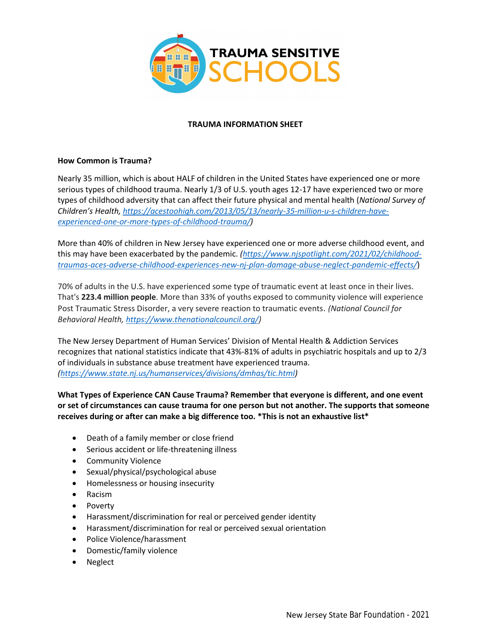

## **TRAUMA INFORMATION SHEET**

## **How Common is Trauma?**

Nearly 35 million, which is about HALF of children in the United States have experienced one or more serious types of childhood trauma. Nearly 1/3 of U.S. youth ages 12-17 have experienced two or more types of childhood adversity that can affect their future physical and mental health (*National Survey of Children's Health, [https://acestoohigh.com/2013/05/13/nearly-35-million-u-s-children-have](https://acestoohigh.com/2013/05/13/nearly-35-million-u-s-children-have-experienced-one-or-more-types-of-childhood-trauma/)[experienced-one-or-more-types-of-childhood-trauma/\)](https://acestoohigh.com/2013/05/13/nearly-35-million-u-s-children-have-experienced-one-or-more-types-of-childhood-trauma/)*

More than 40% of children in New Jersey have experienced one or more adverse childhood event, and this may have been exacerbated by the pandemic. *[\(https://www.njspotlight.com/2021/02/childhood](https://www.njspotlight.com/2021/02/childhood-traumas-aces-adverse-childhood-experiences-new-nj-plan-damage-abuse-neglect-pandemic-effects/)[traumas-aces-adverse-childhood-experiences-new-nj-plan-damage-abuse-neglect-pandemic-effects/](https://www.njspotlight.com/2021/02/childhood-traumas-aces-adverse-childhood-experiences-new-nj-plan-damage-abuse-neglect-pandemic-effects/)*)

70% of adults in the U.S. have experienced some type of traumatic event at least once in their lives. That's **223.4 million people**. More than 33% of youths exposed to community violence will experience Post Traumatic Stress Disorder, a very severe reaction to traumatic events. *(National Council for Behavioral Health, [https://www.thenationalcouncil.org/\)](https://www.thenationalcouncil.org/)*

The New Jersey Department of Human Services' Division of Mental Health & Addiction Services recognizes that national statistics indicate that 43%-81% of adults in psychiatric hospitals and up to 2/3 of individuals in substance abuse treatment have experienced trauma. *[\(https://www.state.nj.us/humanservices/divisions/dmhas/tic.html\)](https://www.state.nj.us/humanservices/divisions/dmhas/tic.html)*

**What Types of Experience CAN Cause Trauma? Remember that everyone is different, and one event or set of circumstances can cause trauma for one person but not another. The supports that someone receives during or after can make a big difference too. \*This is not an exhaustive list\***

- Death of a family member or close friend
- Serious accident or life-threatening illness
- Community Violence
- Sexual/physical/psychological abuse
- Homelessness or housing insecurity
- Racism
- Poverty
- Harassment/discrimination for real or perceived gender identity
- Harassment/discrimination for real or perceived sexual orientation
- Police Violence/harassment
- Domestic/family violence
- **Neglect**